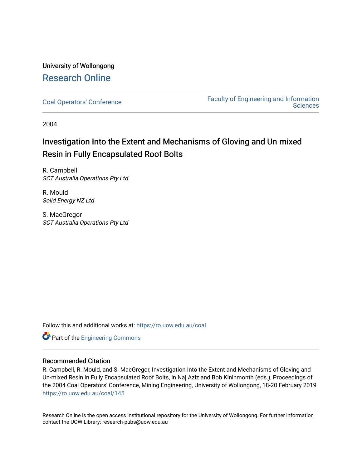## University of Wollongong [Research Online](https://ro.uow.edu.au/)

[Coal Operators' Conference](https://ro.uow.edu.au/coal) [Faculty of Engineering and Information](https://ro.uow.edu.au/eis)  **Sciences** 

2004

# Investigation Into the Extent and Mechanisms of Gloving and Un-mixed Resin in Fully Encapsulated Roof Bolts

R. Campbell SCT Australia Operations Pty Ltd

R. Mould Solid Energy NZ Ltd

S. MacGregor SCT Australia Operations Pty Ltd

Follow this and additional works at: [https://ro.uow.edu.au/coal](https://ro.uow.edu.au/coal?utm_source=ro.uow.edu.au%2Fcoal%2F145&utm_medium=PDF&utm_campaign=PDFCoverPages) 

**Part of the [Engineering Commons](http://network.bepress.com/hgg/discipline/217?utm_source=ro.uow.edu.au%2Fcoal%2F145&utm_medium=PDF&utm_campaign=PDFCoverPages)** 

### Recommended Citation

R. Campbell, R. Mould, and S. MacGregor, Investigation Into the Extent and Mechanisms of Gloving and Un-mixed Resin in Fully Encapsulated Roof Bolts, in Naj Aziz and Bob Kininmonth (eds.), Proceedings of the 2004 Coal Operators' Conference, Mining Engineering, University of Wollongong, 18-20 February 2019 [https://ro.uow.edu.au/coal/145](https://ro.uow.edu.au/coal/145?utm_source=ro.uow.edu.au%2Fcoal%2F145&utm_medium=PDF&utm_campaign=PDFCoverPages) 

Research Online is the open access institutional repository for the University of Wollongong. For further information contact the UOW Library: research-pubs@uow.edu.au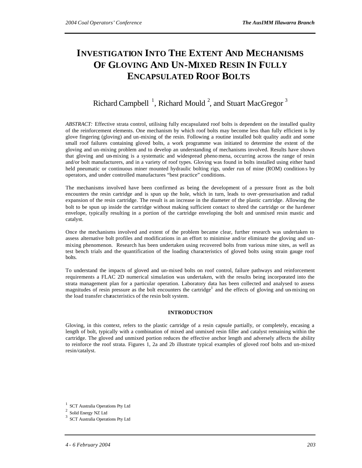# **INVESTIGATION INTO THE EXTENT AND MECHANISMS OF GLOVING AND UN-MIXED RESIN IN FULLY ENCAPSULATED ROOF BOLTS**

### Richard Campbell<sup>1</sup>, Richard Mould<sup>2</sup>, and Stuart MacGregor<sup>3</sup>

*ABSTRACT:* Effective strata control, utilising fully encapsulated roof bolts is dependent on the installed quality of the reinforcement elements. One mechanism by which roof bolts may become less than fully efficient is by glove fingering (gloving) and un-mixing of the resin. Following a routine installed bolt quality audit and some small roof failures containing gloved bolts, a work programme was initiated to determine the extent of the gloving and un-mixing problem and to develop an understanding of mechanisms involved. Results have shown that gloving and un-mixing is a systematic and widespread pheno mena, occurring across the range of resin and/or bolt manufacturers, and in a variety of roof types. Gloving was found in bolts installed using either hand held pneumatic or continuous miner mounted hydraulic bolting rigs, under run of mine (ROM) condition s by operators, and under controlled manufactures "best practice" conditions.

The mechanisms involved have been confirmed as being the development of a pressure front as the bolt encounters the resin cartridge and is spun up the hole, which in turn, leads to over-pressurisation and radial expansion of the resin cartridge. The result is an increase in the diameter of the plastic cartridge. Allowing the bolt to be spun up inside the cartridge without making sufficient contact to shred the cartridge or the hardener envelope, typically resulting in a portion of the cartridge enveloping the bolt and unmixed resin mastic and catalyst.

Once the mechanisms involved and extent of the problem became clear, further research was undertaken to assess alternative bolt profiles and modifications in an effort to minimise and/or eliminate the gloving and unmixing phenomenon. Research has been undertaken using recovered bolts from various mine sites, as well as test bench trials and the quantification of the loading characteristics of gloved bolts using strain gauge roof bolts.

To understand the impacts of gloved and un-mixed bolts on roof control, failure pathways and reinforcement requirements a FLAC 2D numerical simulation was undertaken, with the results being incorporated into the strata management plan for a particular operation. Laboratory data has been collected and analysed to assess magnitudes of resin pressure as the bolt encounters the cartridge<sup>1</sup> and the effects of gloving and un-mixing on the load transfer characteristics of the resin bolt system.

#### **INTRODUCTION**

Gloving, in this context, refers to the plastic cartridge of a resin capsule partially, or completely, encasing a length of bolt, typically with a combination of mixed and unmixed resin filler and catalyst remaining within the cartridge. The gloved and unmixed portion reduces the effective anchor length and adversely affects the ability to reinforce the roof strata. Figures 1, 2a and 2b illustrate typical examples of gloved roof bolts and un-mixed resin/catalyst.

<sup>1</sup> SCT Australia Operations Pty Ltd

 $^2\,$  Solid Energy NZ Ltd

 $3$  SCT Australia Operations Pty Ltd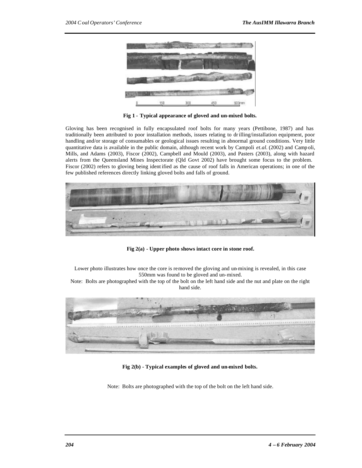

**Fig 1 - Typical appearance of gloved and un-mixed bolts.**

Gloving has been recognised in fully encapsulated roof bolts for many years (Pettibone, 1987) and has traditionally been attributed to poor installation methods, issues relating to drilling/installation equipment, poor handling and/or storage of consumables or geological issues resulting in abnormal ground conditions. Very little quantitative data is available in the public domain, although recent work by Campoli *et.al.* (2002) and Camp oli, Mills, and Adams (2003), Fiscor (2002), Campbell and Mould (2003), and Pasters (2003), along with hazard alerts from the Queensland Mines Inspectorate (Qld Govt 2002) have brought some focus to the problem. Fiscor (2002) refers to gloving being ident ified as the cause of roof falls in American operations; in one of the few published references directly linking gloved bolts and falls of ground.



**Fig 2(a) - Upper photo shows intact core in stone roof.** 

Lower photo illustrates how once the core is removed the gloving and un-mixing is revealed, in this case 550mm was found to be gloved and un-mixed.

Note: Bolts are photographed with the top of the bolt on the left hand side and the nut and plate on the right hand side.



**Fig 2(b) - Typical examples of gloved and un-mixed bolts.** 

Note: Bolts are photographed with the top of the bolt on the left hand side.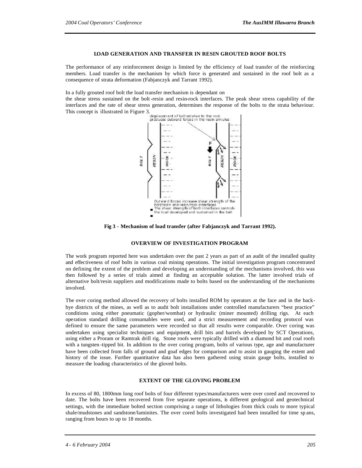#### **LOAD GENERATION AND TRANSFER IN RESIN GROUTED ROOF BOLTS**

The performance of any reinforcement design is limited by the efficiency of load transfer of the reinforcing members. Load transfer is the mechanism by which force is generated and sustained in the roof bolt as a consequence of strata deformation (Fabjanczyk and Tarrant 1992).

In a fully grouted roof bolt the load transfer mechanism is dependant on

the shear stress sustained on the bolt -resin and resin-rock interfaces. The peak shear stress capability of the interfaces and the rate of shear stress generation, determines the response of the bolts to the strata behaviour. This concept is illustrated in Figure 3.<br>
produces outward forces in the resin annulus<br>
produces outward forces in the resin annulus



**Fig 3 - Mechanism of load transfer (after Fabjanczyk and Tarrant 1992).**

#### **OVERVIEW OF INVESTIGATION PROGRAM**

The work program reported here was undertaken over the past 2 years as part of an audit of the installed quality and effectiveness of roof bolts in various coal mining operations. The initial investigation program concentrated on defining the extent of the problem and developing an understanding of the mechanisms involved, this was then followed by a series of trials aimed at finding an acceptable solution. The latter involved trials of alternative bolt/resin suppliers and modifications made to bolts based on the understanding of the mechanisms involved.

The over coring method allowed the recovery of bolts installed ROM by operators at the face and in the backbye districts of the mines, as well as to audit bolt installations under controlled manufacturers "best practice" conditions using either pneumatic (gopher/wombat) or hydraulic (miner mounted) drilling rigs. At each operation standard drilling consumables were used, and a strict measurement and recording protocol was defined to ensure the same parameters were recorded so that all results were comparable. Over coring was undertaken using specialist techniques and equipment, drill bits and barrels developed by SCT Operations, using either a Proram or Ramtrak drill rig. Stone roofs were typically drilled with a diamond bit and coal roofs with a tungsten -tipped bit. In addition to the over coring program, bolts of various type, age and manufacturer have been collected from falls of ground and goaf edges for comparison and to assist in gauging the extent and history of the issue. Further quantitative data has also been gathered using strain gauge bolts, installed to measure the loading characteristics of the gloved bolts.

#### **EXTENT OF THE GLOVING PROBLEM**

In excess of 80, 1800mm long roof bolts of four different types/manufacturers were over cored and recovered to date. The bolts have been recovered from five separate operations, in different geological and geotechnical settings, with the immediate bolted section comprising a range of lithologies from thick coals to more typical shale/mudstones and sandstone/laminites. The over cored bolts investigated had been installed for time sp ans, ranging from hours to up to 18 months.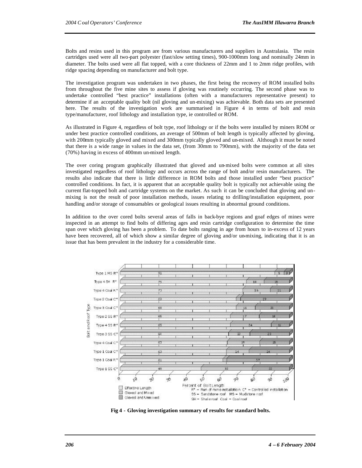Bolts and resins used in this program are from various manufacturers and suppliers in Australasia. The resin cartridges used were all two-part polyester (fast/slow setting times), 900-1000mm long and nominally 24mm in diameter. The bolts used were all flat topped, with a core thickness of 22mm and 1 to 2mm ridge profiles, with ridge spacing depending on manufacturer and bolt type.

The investigation program was undertaken in two phases, the first being the recovery of ROM installed bolts from throughout the five mine sites to assess if gloving was routinely occurring. The second phase was to undertake controlled "best practice" installations (often with a manufacturers representative present) to determine if an acceptable quality bolt (nil gloving and un-mixing) was achievable. Both data sets are presented here. The results of the investigation work are summarised in Figure 4 in terms of bolt and resin type/manufacturer, roof lithology and installation type, ie controlled or ROM.

As illustrated in Figure 4, regardless of bolt type, roof lithology or if the bolts were installed by miners ROM or under best practice controlled conditions, an average of 500mm of bolt length is typically affected by gloving, with 200mm typically gloved and mixed and 300mm typically gloved and un-mixed. Although it must be noted that there is a wide range in values in the data set, (from 30mm to 790mm), with the majority of the data set (70%) having in excess of 400mm un-mixed length.

The over coring program graphically illustrated that gloved and un-mixed bolts were common at all sites investigated regardless of roof lithology and occurs across the range of bolt and/or resin manufacturers. The results also indicate that there is little difference in ROM bolts and those installed under "best practice" controlled conditions. In fact, it is apparent that an acceptable quality bolt is typically not achievable using the current flat-topped bolt and cartridge systems on the market. As such it can be concluded that gloving and unmixing is not the result of poor installation methods, issues relating to drilling/installation equipment, poor handling and/or storage of consumables or geological issues resulting in abnormal ground conditions.

In addition to the over cored bolts several areas of falls in back-bye regions and goaf edges of mines were inspected in an attempt to find bolts of differing ages and resin cartridge configuration to determine the time span over which gloving has been a problem. To date bolts ranging in age from hours to in-excess of 12 years have been recovered, all of which show a similar degree of gloving and/or un-mixing, indicating that it is an issue that has been prevalent in the industry for a considerable time.



**Fig 4 - Gloving investigation summary of results for standard bolts.**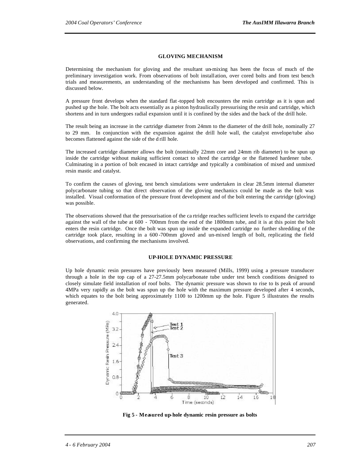#### **GLOVING MECHANISM**

Determining the mechanism for gloving and the resultant un-mixing has been the focus of much of the preliminary investigation work. From observations of bolt installation, over cored bolts and from test bench trials and measurements, an understanding of the mechanisms has been developed and confirmed. This is discussed below.

A pressure front develops when the standard flat-topped bolt encounters the resin cartridge as it is spun and pushed up the hole. The bolt acts essentially as a piston hydraulically pressurising the resin and cartridge, which shortens and in turn undergoes radial expansion until it is confined by the sides and the back of the drill hole.

The result being an increase in the cartridge diameter from 24mm to the diameter of the drill hole, nominally 27 to 29 mm. In conjunction with the expansion against the drill hole wall, the catalyst envelope/tube also becomes flattened against the side of the d rill hole.

The increased cartridge diameter allows the bolt (nominally 22mm core and 24mm rib diameter) to be spun up inside the cartridge without making sufficient contact to shred the cartridge or the flattened hardener tube. Culminating in a portion of bolt encased in intact cartridge and typically a combination of mixed and unmixed resin mastic and catalyst.

To confirm the causes of gloving, test bench simulations were undertaken in clear 28.5mm internal diameter polycarbonate tubing so that direct observation of the gloving mechanics could be made as the bolt was installed. Visual conformation of the pressure front development and of the bolt entering the cartridge (gloving) was possible.

The observations showed that the pressurisation of the ca rtridge reaches sufficient levels to expand the cartridge against the wall of the tube at 600 - 700mm from the end of the 1800mm tube, and it is at this point the bolt enters the resin cartridge. Once the bolt was spun up inside the expanded cartridge no further shredding of the cartridge took place, resulting in a 600 -700mm gloved and un-mixed length of bolt, replicating the field observations, and confirming the mechanisms involved.

#### **UP-HOLE DYNAMIC PRESSURE**

Up hole dynamic resin pressures have previously been measured (Mills, 1999) using a pressure transducer through a hole in the top cap of a 27-27.5mm polycarbonate tube under test bench conditions designed to closely simulate field installation of roof bolts. The dynamic pressure was shown to rise to is peak of around 4MPa very rapidly as the bolt was spun up the hole with the maximum pressure developed after 4 seconds, which equates to the bolt being approximately 1100 to 1200mm up the hole. Figure 5 illustrates the results generated.



**Fig 5 - Measured up-hole dynamic resin pressure as bolts**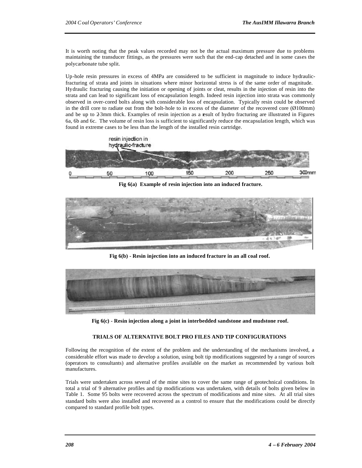It is worth noting that the peak values recorded may not be the actual maximum pressure due to problems maintaining the transducer fittings, as the pressures were such that the end-cap detached and in some cases the polycarbonate tube split.

Up-hole resin pressures in excess of 4MPa are considered to be sufficient in magnitude to induce hydraulicfracturing of strata and joints in situations where minor horizontal stress is of the same order of magnitude. Hydraulic fracturing causing the initiation or opening of joints or cleat, results in the injection of resin into the strata and can lead to significant loss of encapsulation length. Indeed resin injection into strata was commonly observed in over-cored bolts along with considerable loss of encapsulation. Typically resin could be observed in the drill core to radiate out from the bolt-hole to in excess of the diameter of the recovered core  $(\emptyset 100mm)$ and be up to 23mm thick. Examples of resin injection as a result of hydro fracturing are illustrated in Figures 6a, 6b and 6c. The volume of resin loss is sufficient to significantly reduce the encapsulation length, which was found in extreme cases to be less than the length of the installed resin cartridge.



**Fig 6(a) Example of resin injection into an induced fracture.**



**Fig 6(b) - Resin injection into an induced fracture in an all coal roof.**



**Fig 6(c) - Resin injection along a joint in interbedded sandstone and mudstone roof.**

#### **TRIALS OF ALTERNATIVE BOLT PRO FILES AND TIP CONFIGURATIONS**

Following the recognition of the extent of the problem and the understanding of the mechanisms involved, a considerable effort was made to develop a solution, using bolt tip modifications suggested by a range of sources (operators to consultants) and alternative profiles available on the market as recommended by various bolt manufactures.

Trials were undertaken across several of the mine sites to cover the same range of geotechnical conditions. In total a trial of 9 alternative profiles and tip modifications was undertaken, with details of bolts given below in Table 1. Some 95 bolts were recovered across the spectrum of modifications and mine sites. At all trial sites standard bolts were also installed and recovered as a control to ensure that the modifications could be directly compared to standard profile bolt types.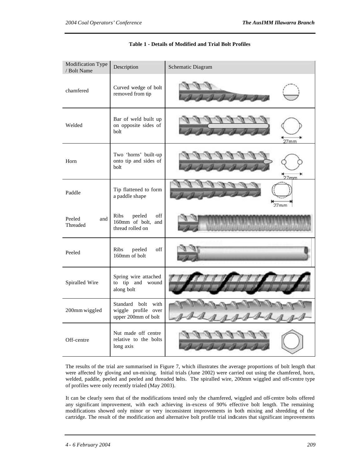| Modification Type<br>/ Bolt Name | Description                                                            | Schematic Diagram |
|----------------------------------|------------------------------------------------------------------------|-------------------|
| chamfered                        | Curved wedge of bolt<br>removed from tip                               |                   |
| Welded                           | Bar of weld built up<br>on opposite sides of<br>bolt                   | 27 <sub>mm</sub>  |
| Horn                             | Two 'horns' built-up<br>onto tip and sides of<br>bolt                  | 7 <sub>mm</sub>   |
| Paddle                           | Tip flattened to form<br>a paddle shape                                | 27 <sub>mm</sub>  |
| Peeled<br>and<br>Threaded        | <b>Ribs</b><br>peeled<br>off<br>160mm of bolt, and<br>thread rolled on |                   |
| Peeled                           | Ribs<br>off<br>peeled<br>160mm of bolt                                 |                   |
| Spiralled Wire                   | Spring wire attached<br>to tip and wound<br>along bolt                 |                   |
| 200mm wiggled                    | Standard bolt with<br>wiggle profile over<br>upper 200mm of bolt       |                   |
| Off-centre                       | Nut made off centre<br>relative to the bolts<br>long axis              |                   |

#### **Table 1 - Details of Modified and Trial Bolt Profiles**

The results of the trial are summarised in Figure 7, which illustrates the average proportions of bolt length that were affected by gloving and un-mixing. Initial trials (June 2002) were carried out using the chamfered, horn, welded, paddle, peeled and peeled and threaded bolts. The spiralled wire, 200mm wiggled and off-centre type of profiles were only recently trialed (May 2003).

It can be clearly seen that of the modifications tested only the chamfered, wiggled and off-centre bolts offered any significant improvement, with each achieving in-excess of 90% effective bolt length. The remaining modifications showed only minor or very inconsistent improvements in both mixing and shredding of the cartridge. The result of the modification and alternative bolt profile trial indicates that significant improvements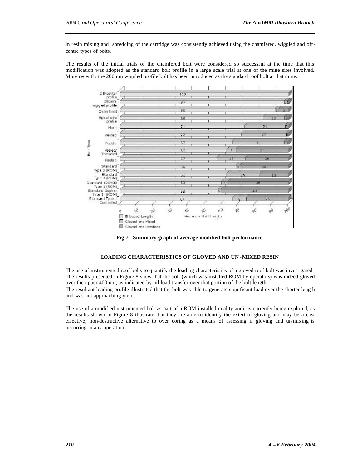in resin mixing and shredding of the cartridge was consistently achieved using the chamfered, wiggled and offcentre types of bolts.

The results of the initial trials of the chamfered bolt were considered so successful at the time that this modification was adopted as the standard bolt profile in a large scale trial at one of the mine sites involved. More recently the 200mm wiggled profile bolt has been introduced as the standard roof bolt at that mine.



**Fig 7 - Summary graph of average modified bolt performance.**

#### **LOADING CHARACTERISTICS OF GLOVED AND UN -MIXED RESIN**

The use of instrumented roof bolts to quantify the loading characteristics of a gloved roof bolt was investigated. The results presented in Figure 8 show that the bolt (which was installed ROM by operators) was indeed gloved over the upper 400mm, as indicated by nil load transfer over that portion of the bolt length The resultant loading profile illustrated that the bolt was able to generate significant load over the shorter length and was not approaching yield.

The use of a modified instrumented bolt as part of a ROM installed quality audit is currently being explored, as the results shown in Figure 8 illustrate that they are able to identify the extent of gloving and may be a cost effective, non-destructive alternative to over coring as a means of assessing if gloving and un-mixing is occurring in any operation.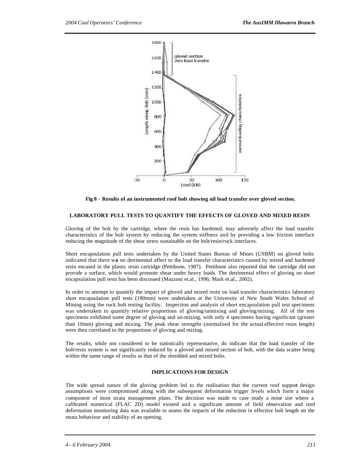

**Fig 8 - Results of an instrumented roof bolt showing nil load transfer over gloved section.**

#### **LABORATORY PULL TESTS TO QUANTIFY THE EFFECTS OF GLOVED AND MIXED RESIN**

Gloving of the bolt by the cartridge, where the resin has hardened, may adversely affect the load transfer characteristics of the bolt system by reducing the system stiffness and by providing a low friction interface reducing the magnitude of the shear stress sustainable on the bolt/resin/rock interfaces.

Short encapsulation pull tests undertaken by the United States Bureau of Mines (USBM) on gloved bolts indicated that there was no detrimental affect to the load transfer characteristics caused by mixed and hardened resin encased in the plastic resin cartridge (Pettibone, 1987). Pettibone also reported that the cartridge did not provide a surface, which would promote shear under heavy loads. The detrimental effect of gloving on short encapsulation pull tests has been discussed (Mazzoni et.al., 1996; Mark et.al., 2002).

In order to attempt to quantify the impact of gloved and mixed resin on load transfer characteristics laboratory short encapsulation pull tests (180mm) were undertaken at the University of New South Wales School of Mining using the rock bolt testing facility. Inspection and analysis of short encapsulation pull test specimens was undertaken to quantify relative proportions of gloving/unmixing and gloving/mixing. All of the test specimens exhibited some degree of gloving and un-mixing, with only 4 specimens having significant (greater than 10mm) gloving and mixing. The peak shear strengths (normalised for the actual effective resin length) were then correlated to the proportions of gloving and mixing.

The results, while not considered to be statistically representative, do indicate that the load transfer of the bolt/resin system is not significantly reduced by a gloved and mixed section of bolt, with the data scatter being within the same range of results as that of the shredded and mixed bolts.

#### **IMPLICATIONS FOR DESIGN**

The wide spread nature of the gloving problem led to the realisation that the current roof support design assumptions were compromised along with the subsequent deformation trigger levels which form a major component of most strata management plans. The decision was made to case study a mine site where a calibrated numerical (FLAC 2D) model existed and a significant amount of field observation and roof deformation monitoring data was available to assess the impacts of the reduction in effective bolt length on the strata behaviour and stability of an opening.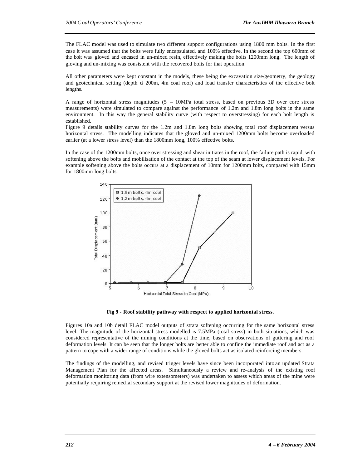The FLAC model was used to simulate two different support configurations using 1800 mm bolts. In the first case it was assumed that the bolts were fully encapsulated, and 100% effective. In the second the top 600mm of the bolt was gloved and encased in un-mixed resin, effectively making the bolts 1200mm long. The length of gloving and un-mixing was consistent with the recovered bolts for that operation.

All other parameters were kept constant in the models, these being the excavation size/geometry, the geology and geotechnical setting (depth of 200m, 4m coal roof) and load transfer characteristics of the effective bolt lengths.

A range of horizontal stress magnitudes (5 – 10MPa total stress, based on previous 3D over core stress measurements) were simulated to compare against the performance of 1.2m and 1.8m long bolts in the same environment. In this way the general stability curve (with respect to overstressing) for each bolt length is established.

Figure 9 details stability curves for the 1.2m and 1.8m long bolts showing total roof displacement versus horizontal stress. The modelling indicates that the gloved and un-mixed 1200mm bolts become overloaded earlier (at a lower stress level) than the 1800mm long, 100% effective bolts.

In the case of the 1200mm bolts, once over stressing and shear initiates in the roof, the failure path is rapid, with softening above the bolts and mobilisation of the contact at the top of the seam at lower displacement levels. For example softening above the bolts occurs at a displacement of 10mm for 1200mm bolts, compared with 15mm for 1800mm long bolts.



**Fig 9 - Roof stability pathway with respect to applied horizontal stress.**

Figures 10a and 10b detail FLAC model outputs of strata softening occurring for the same horizontal stress level. The magnitude of the horizontal stress modelled is 7.5MPa (total stress) in both situations, which was considered representative of the mining conditions at the time, based on observations of guttering and roof deformation levels. It can be seen that the longer bolts are better able to confine the immediate roof and act as a pattern to cope with a wider range of conditions while the gloved bolts act as isolated reinforcing members.

The findings of the modelling, and revised trigger levels have since been incorporated into an updated Strata Management Plan for the affected areas. Simultaneously a review and re-analysis of the existing roof deformation monitoring data (from wire extensometers) was undertaken to assess which areas of the mine were potentially requiring remedial secondary support at the revised lower magnitudes of deformation.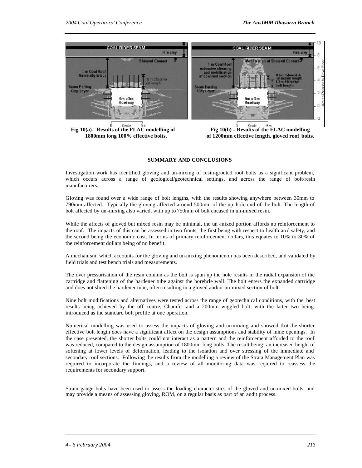

Fig 10(a)- Results of the FLAC modelling of Fig 10(b) - Results of the FLAC modelling

 **1800mm long 100% effective bolts. of 1200mm effective length, gloved roof bolts.**

#### **SUMMARY AND CONCLUSIONS**

Investigation work has identified gloving and un-mixing of resin-grouted roof bolts as a significant problem, which occurs across a range of geological/geotechnical settings, and across the range of bolt/resin manufacturers.

Gloving was found over a wide range of bolt lengths, with the results showing anywhere between 30mm to 790mm affected. Typically the gloving affected around 500mm of the up -hole end of the bolt. The length of bolt affected by un -mixing also varied, with up to 750mm of bolt encased in un-mixed resin.

While the affects of gloved but mixed resin may be minimal, the un -mixed portion affords no reinforcement to the roof. The impacts of this can be assessed in two fronts, the first being with respect to health an d safety, and the second being the economic cost. In terms of primary reinforcement dollars, this equates to 10% to 30% of the reinforcement dollars being of no benefit.

A mechanism, which accounts for the gloving and un-mixing phenomenon has been described, and validated by field trials and test bench trials and measurements.

The over pressurisation of the resin column as the bolt is spun up the hole results in the radial expansion of the cartridge and flattening of the hardener tube against the borehole wall. The bolt enters the expanded cartridge and does not shred the hardener tube, often resulting in a gloved and/or un-mixed section of bolt.

Nine bolt modifications and alternatives were tested across the range of geotechnical conditions, with the best results being achieved by the off-centre, Chamfer and a 200mm wiggled bolt, with the latter two being introduced as the standard bolt profile at one operation.

Numerical modelling was used to assess the impacts of gloving and un-mixing and showed that the shorter effective bolt length does have a significant affect on the design assumptions and stability of mine openings. In the case presented, the shorter bolts could not interact as a pattern and the reinforcement afforded to the roof was reduced, compared to the design assumption of 1800mm long bolts. The result being: an increased height of softening at lower levels of deformation, leading to the isolation and over stressing of the immediate and secondary roof sections. Following the results from the modelling a review of the Strata Management Plan was required to incorporate the findings, and a review of all monitoring data was required to reassess the requirements for secondary support.

Strain gauge bolts have been used to assess the loading characteristics of the gloved and un-mixed bolts, and may provide a means of assessing gloving, ROM, on a regular basis as part of an audit process.